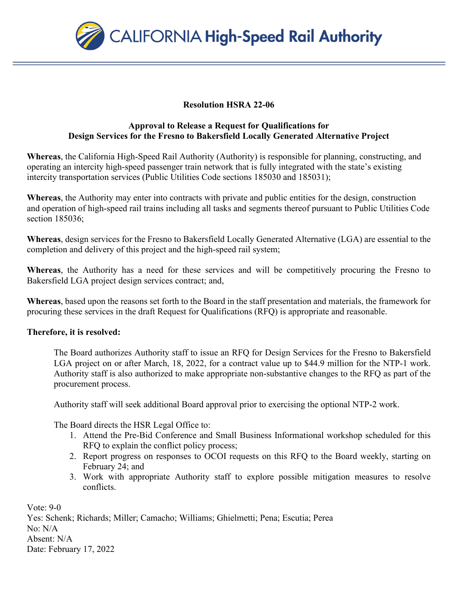

## **Resolution HSRA 22-06**

## **Approval to Release a Request for Qualifications for Design Services for the Fresno to Bakersfield Locally Generated Alternative Project**

**Whereas**, the California High-Speed Rail Authority (Authority) is responsible for planning, constructing, and operating an intercity high-speed passenger train network that is fully integrated with the state's existing intercity transportation services (Public Utilities Code sections 185030 and 185031);

**Whereas**, the Authority may enter into contracts with private and public entities for the design, construction and operation of high-speed rail trains including all tasks and segments thereof pursuant to Public Utilities Code section 185036;

**Whereas**, design services for the Fresno to Bakersfield Locally Generated Alternative (LGA) are essential to the completion and delivery of this project and the high-speed rail system;

**Whereas**, the Authority has a need for these services and will be competitively procuring the Fresno to Bakersfield LGA project design services contract; and,

**Whereas**, based upon the reasons set forth to the Board in the staff presentation and materials, the framework for procuring these services in the draft Request for Qualifications (RFQ) is appropriate and reasonable.

## **Therefore, it is resolved:**

The Board authorizes Authority staff to issue an RFQ for Design Services for the Fresno to Bakersfield LGA project on or after March, 18, 2022, for a contract value up to \$44.9 million for the NTP-1 work. Authority staff is also authorized to make appropriate non-substantive changes to the RFQ as part of the procurement process.

Authority staff will seek additional Board approval prior to exercising the optional NTP-2 work.

The Board directs the HSR Legal Office to:

- 1. Attend the Pre-Bid Conference and Small Business Informational workshop scheduled for this RFQ to explain the conflict policy process;
- 2. Report progress on responses to OCOI requests on this RFQ to the Board weekly, starting on February 24; and
- 3. Work with appropriate Authority staff to explore possible mitigation measures to resolve conflicts.

Vote: 9-0 Yes: Schenk; Richards; Miller; Camacho; Williams; Ghielmetti; Pena; Escutia; Perea No: N/A Absent: N/A Date: February 17, 2022